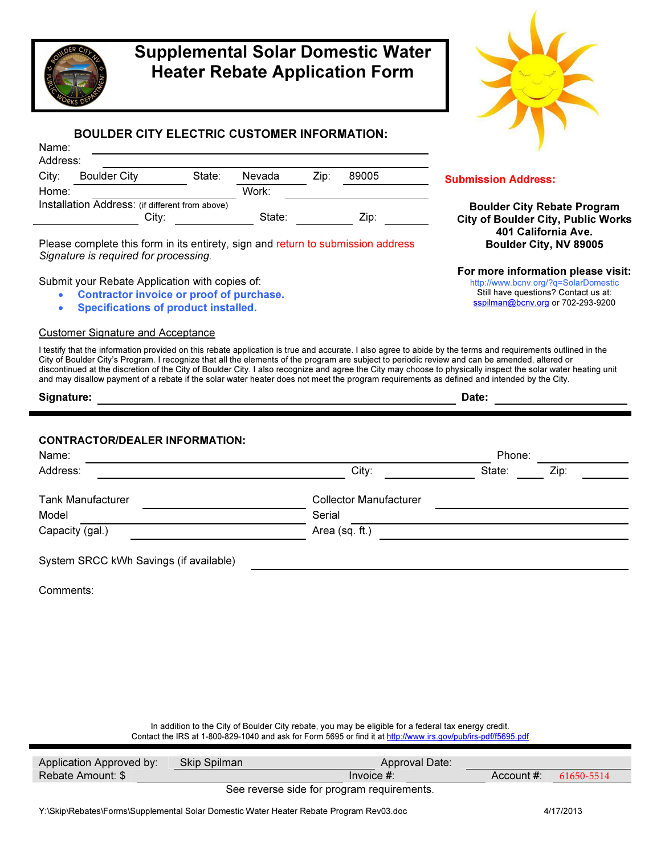

Name:

# Supplemental Solar Domestic Water Heater Rebate Application Form

### BOULDER CITY ELECTRIC CUSTOMER INFORMATION:

| Address: |                                                 |        |        |      |       |  |  |  |  |  |
|----------|-------------------------------------------------|--------|--------|------|-------|--|--|--|--|--|
| City:    | <b>Boulder City</b>                             | State: | Nevada | Zip: | 89005 |  |  |  |  |  |
| Home:    |                                                 |        | Work:  |      |       |  |  |  |  |  |
|          | Installation Address: (if different from above) |        |        |      |       |  |  |  |  |  |
|          | City:                                           |        | State: |      | Zip:  |  |  |  |  |  |

Please complete this form in its entirety, sign and return to submission address Signature is required for processing.

Submit your Rebate Application with copies of:

- Contractor invoice or proof of purchase.
- Specifications of product installed.

#### Customer Signature and Acceptance

I testify that the information provided on this rebate application is true and accurate. I also agree to abide by the terms and requirements outlined in the City of Boulder City's Program. I recognize that all the elements of the program are subject to periodic review and can be amended, altered or discontinued at the discretion of the City of Boulder City. I also recognize and agree the City may choose to physically inspect the solar water heating unit and may disallow payment of a rebate if the solar water heater does not meet the program requirements as defined and intended by the City.

| Signature:                                     |                               | Date:  |      |  |
|------------------------------------------------|-------------------------------|--------|------|--|
|                                                |                               |        |      |  |
| <b>CONTRACTOR/DEALER INFORMATION:</b><br>Name: |                               | Phone: |      |  |
| Address:                                       | City:                         | State: | Zip: |  |
| <b>Tank Manufacturer</b>                       | <b>Collector Manufacturer</b> |        |      |  |
| Model                                          | Serial                        |        |      |  |
| Capacity (gal.)                                | Area (sq. ft.)                |        |      |  |
| System SRCC kWh Savings (if available)         |                               |        |      |  |

Comments:

In addition to the City of Boulder City rebate, you may be eligible for a federal tax energy credit. Contact the IRS at 1-800-829-1040 and ask for Form 5695 or find it at http://www.irs.gov/pub/irs-pdf/f5695.pdf

| Application Approved by:                   | Skip Spilman<br>Approval Date: |               |            |            |  |  |  |  |
|--------------------------------------------|--------------------------------|---------------|------------|------------|--|--|--|--|
| Rebate Amount: \$                          |                                | Invoice $#$ : | Account #: | 61650-5514 |  |  |  |  |
| See reverse side for program requirements. |                                |               |            |            |  |  |  |  |



### Submission Address:

Boulder City Rebate Program City of Boulder City, Public Works 401 California Ave. Boulder City, NV 89005

#### For more information please visit:

http://www.bcnv.org/?q=SolarDomestic Still have questions? Contact us at: sspilman@bcnv.org or 702-293-9200